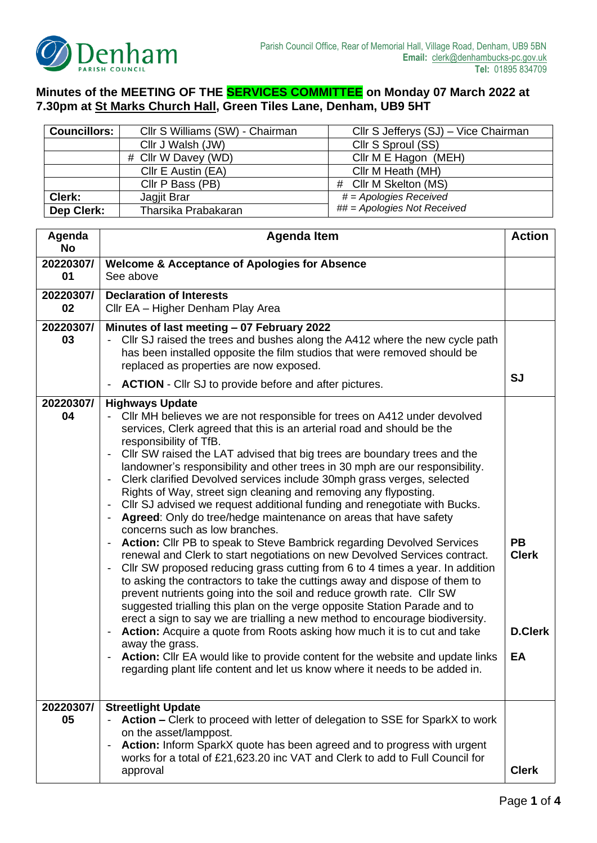

## **Minutes of the MEETING OF THE SERVICES COMMITTEE on Monday 07 March 2022 at 7.30pm at St Marks Church Hall, Green Tiles Lane, Denham, UB9 5HT**

| <b>Councillors:</b><br>Cllr S Williams (SW) - Chairman |                     | Cllr S Jefferys (SJ) – Vice Chairman |  |
|--------------------------------------------------------|---------------------|--------------------------------------|--|
|                                                        | Cllr J Walsh (JW)   | Cllr S Sproul (SS)                   |  |
| # Cllr W Davey (WD)                                    |                     | Cllr M E Hagon (MEH)                 |  |
| Cllr E Austin (EA)<br>Cllr M Heath (MH)                |                     |                                      |  |
|                                                        | Cllr P Bass (PB)    | # Cllr M Skelton (MS)                |  |
| Clerk:                                                 | Jagjit Brar         | $# = Apologies$ Received             |  |
| Dep Clerk:                                             | Tharsika Prabakaran | ## = Apologies Not Received          |  |

| Agenda<br><b>No</b> | <b>Agenda Item</b>                                                                                                                                                                                                                                                                                                                                                                                                                                                                                                                                                                                                                                                                                                                                                                                                                                                                                                                                                                                                                                                                                                                                                                                                                                                                                                                                                                                                                                                                                                                                                                                                                                                                                             |                                                   |
|---------------------|----------------------------------------------------------------------------------------------------------------------------------------------------------------------------------------------------------------------------------------------------------------------------------------------------------------------------------------------------------------------------------------------------------------------------------------------------------------------------------------------------------------------------------------------------------------------------------------------------------------------------------------------------------------------------------------------------------------------------------------------------------------------------------------------------------------------------------------------------------------------------------------------------------------------------------------------------------------------------------------------------------------------------------------------------------------------------------------------------------------------------------------------------------------------------------------------------------------------------------------------------------------------------------------------------------------------------------------------------------------------------------------------------------------------------------------------------------------------------------------------------------------------------------------------------------------------------------------------------------------------------------------------------------------------------------------------------------------|---------------------------------------------------|
| 20220307/<br>01     | <b>Welcome &amp; Acceptance of Apologies for Absence</b><br>See above                                                                                                                                                                                                                                                                                                                                                                                                                                                                                                                                                                                                                                                                                                                                                                                                                                                                                                                                                                                                                                                                                                                                                                                                                                                                                                                                                                                                                                                                                                                                                                                                                                          |                                                   |
| 20220307/<br>02     | <b>Declaration of Interests</b><br>Cllr EA - Higher Denham Play Area                                                                                                                                                                                                                                                                                                                                                                                                                                                                                                                                                                                                                                                                                                                                                                                                                                                                                                                                                                                                                                                                                                                                                                                                                                                                                                                                                                                                                                                                                                                                                                                                                                           |                                                   |
| 20220307/<br>03     | Minutes of last meeting - 07 February 2022<br>Cllr SJ raised the trees and bushes along the A412 where the new cycle path<br>has been installed opposite the film studios that were removed should be<br>replaced as properties are now exposed.<br><b>ACTION</b> - Cllr SJ to provide before and after pictures.<br>$\overline{\phantom{0}}$                                                                                                                                                                                                                                                                                                                                                                                                                                                                                                                                                                                                                                                                                                                                                                                                                                                                                                                                                                                                                                                                                                                                                                                                                                                                                                                                                                  | <b>SJ</b>                                         |
| 20220307/<br>04     | <b>Highways Update</b><br>- Cllr MH believes we are not responsible for trees on A412 under devolved<br>services, Clerk agreed that this is an arterial road and should be the<br>responsibility of TfB.<br>Cllr SW raised the LAT advised that big trees are boundary trees and the<br>landowner's responsibility and other trees in 30 mph are our responsibility.<br>Clerk clarified Devolved services include 30mph grass verges, selected<br>$\overline{\phantom{a}}$<br>Rights of Way, street sign cleaning and removing any flyposting.<br>Cllr SJ advised we request additional funding and renegotiate with Bucks.<br>$\overline{\phantom{a}}$<br>Agreed: Only do tree/hedge maintenance on areas that have safety<br>$\overline{\phantom{a}}$<br>concerns such as low branches.<br>Action: Cllr PB to speak to Steve Bambrick regarding Devolved Services<br>$\overline{\phantom{0}}$<br>renewal and Clerk to start negotiations on new Devolved Services contract.<br>CIIr SW proposed reducing grass cutting from 6 to 4 times a year. In addition<br>to asking the contractors to take the cuttings away and dispose of them to<br>prevent nutrients going into the soil and reduce growth rate. Cllr SW<br>suggested trialling this plan on the verge opposite Station Parade and to<br>erect a sign to say we are trialling a new method to encourage biodiversity.<br>Action: Acquire a quote from Roots asking how much it is to cut and take<br>$\overline{\phantom{a}}$<br>away the grass.<br>Action: Cllr EA would like to provide content for the website and update links<br>$\qquad \qquad \blacksquare$<br>regarding plant life content and let us know where it needs to be added in. | <b>PB</b><br><b>Clerk</b><br><b>D.Clerk</b><br>EA |
| 20220307/<br>05     | <b>Streetlight Update</b><br>Action – Clerk to proceed with letter of delegation to SSE for SparkX to work<br>on the asset/lamppost.<br>Action: Inform SparkX quote has been agreed and to progress with urgent<br>$\qquad \qquad \blacksquare$<br>works for a total of £21,623.20 inc VAT and Clerk to add to Full Council for<br>approval                                                                                                                                                                                                                                                                                                                                                                                                                                                                                                                                                                                                                                                                                                                                                                                                                                                                                                                                                                                                                                                                                                                                                                                                                                                                                                                                                                    | <b>Clerk</b>                                      |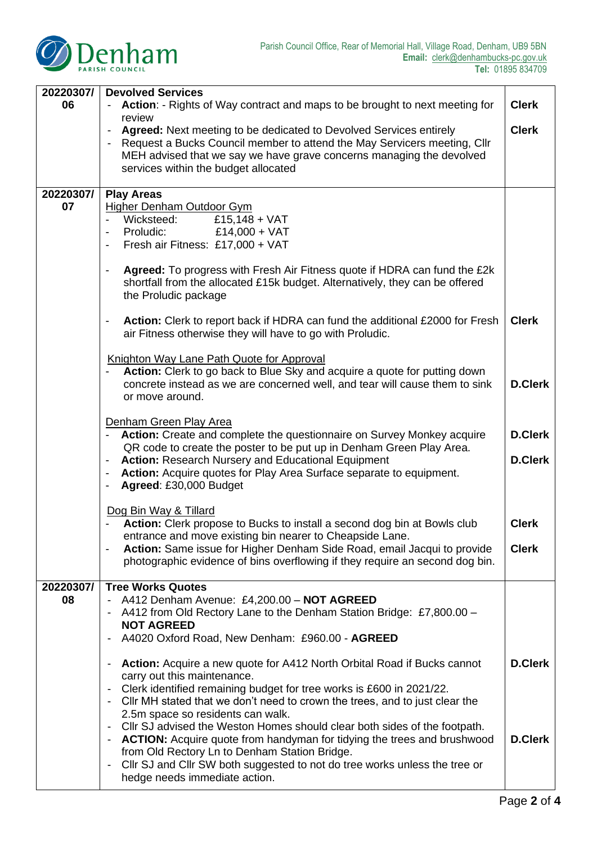

| 20220307/       | <b>Devolved Services</b>                                                                                                                                                                                      |                |
|-----------------|---------------------------------------------------------------------------------------------------------------------------------------------------------------------------------------------------------------|----------------|
| 06              | Action: - Rights of Way contract and maps to be brought to next meeting for<br>review                                                                                                                         |                |
|                 | Agreed: Next meeting to be dedicated to Devolved Services entirely                                                                                                                                            |                |
|                 | Request a Bucks Council member to attend the May Servicers meeting, Cllr<br>MEH advised that we say we have grave concerns managing the devolved                                                              |                |
|                 | services within the budget allocated                                                                                                                                                                          |                |
|                 |                                                                                                                                                                                                               |                |
| 20220307/<br>07 | <b>Play Areas</b><br><b>Higher Denham Outdoor Gym</b>                                                                                                                                                         |                |
|                 | £15,148 + $VAT$<br>Wicksteed:                                                                                                                                                                                 |                |
|                 | Proludic:<br>£14,000 + VAT<br>$\blacksquare$<br>Fresh air Fitness: £17,000 + VAT<br>$\qquad \qquad \blacksquare$                                                                                              |                |
|                 |                                                                                                                                                                                                               |                |
|                 | Agreed: To progress with Fresh Air Fitness quote if HDRA can fund the £2k<br>$\overline{\phantom{0}}$<br>shortfall from the allocated £15k budget. Alternatively, they can be offered<br>the Proludic package |                |
|                 | Action: Clerk to report back if HDRA can fund the additional £2000 for Fresh<br>$\qquad \qquad \blacksquare$<br>air Fitness otherwise they will have to go with Proludic.                                     | <b>Clerk</b>   |
|                 | Knighton Way Lane Path Quote for Approval<br>Action: Clerk to go back to Blue Sky and acquire a quote for putting down                                                                                        |                |
|                 | concrete instead as we are concerned well, and tear will cause them to sink<br>or move around.                                                                                                                | <b>D.Clerk</b> |
|                 | Denham Green Play Area<br>Action: Create and complete the questionnaire on Survey Monkey acquire                                                                                                              |                |
|                 | QR code to create the poster to be put up in Denham Green Play Area.<br><b>Action: Research Nursery and Educational Equipment</b>                                                                             | <b>D.Clerk</b> |
|                 | Action: Acquire quotes for Play Area Surface separate to equipment.<br>$\overline{\phantom{a}}$<br>Agreed: £30,000 Budget<br>$\overline{\phantom{a}}$                                                         |                |
|                 | Dog Bin Way & Tillard                                                                                                                                                                                         |                |
|                 | Action: Clerk propose to Bucks to install a second dog bin at Bowls club                                                                                                                                      | <b>Clerk</b>   |
|                 | entrance and move existing bin nearer to Cheapside Lane.<br>Action: Same issue for Higher Denham Side Road, email Jacqui to provide<br>$\overline{\phantom{a}}$                                               | <b>Clerk</b>   |
|                 | photographic evidence of bins overflowing if they require an second dog bin.                                                                                                                                  |                |
| 20220307/       | <b>Tree Works Quotes</b>                                                                                                                                                                                      |                |
| 08              | A412 Denham Avenue: £4,200.00 - NOT AGREED                                                                                                                                                                    |                |
|                 | A412 from Old Rectory Lane to the Denham Station Bridge: £7,800.00 -<br><b>NOT AGREED</b>                                                                                                                     |                |
|                 | A4020 Oxford Road, New Denham: £960.00 - AGREED                                                                                                                                                               |                |
|                 | Action: Acquire a new quote for A412 North Orbital Road if Bucks cannot<br>$\overline{\phantom{a}}$                                                                                                           | <b>D.Clerk</b> |
|                 | carry out this maintenance.                                                                                                                                                                                   |                |
|                 | Clerk identified remaining budget for tree works is £600 in 2021/22.<br>CIIr MH stated that we don't need to crown the trees, and to just clear the                                                           |                |
|                 | 2.5m space so residents can walk.                                                                                                                                                                             |                |
|                 | Cllr SJ advised the Weston Homes should clear both sides of the footpath.<br>$\blacksquare$<br><b>ACTION:</b> Acquire quote from handyman for tidying the trees and brushwood                                 | <b>D.Clerk</b> |
|                 | from Old Rectory Ln to Denham Station Bridge.                                                                                                                                                                 |                |
|                 | Cllr SJ and Cllr SW both suggested to not do tree works unless the tree or<br>$\overline{\phantom{a}}$<br>hedge needs immediate action.                                                                       |                |
|                 |                                                                                                                                                                                                               |                |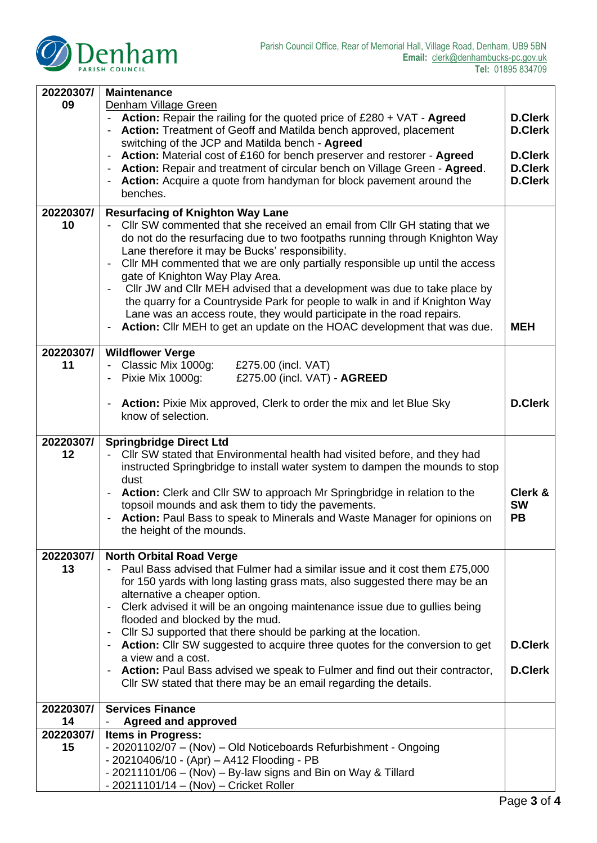

| 20220307/ | <b>Maintenance</b>                                                                                                                                          |                                  |  |
|-----------|-------------------------------------------------------------------------------------------------------------------------------------------------------------|----------------------------------|--|
| 09        | Denham Village Green                                                                                                                                        |                                  |  |
|           | Action: Repair the railing for the quoted price of £280 + VAT - Agreed<br><b>D.Clerk</b>                                                                    |                                  |  |
|           | Action: Treatment of Geoff and Matilda bench approved, placement<br><b>D.Clerk</b><br>$\blacksquare$                                                        |                                  |  |
|           | switching of the JCP and Matilda bench - Agreed                                                                                                             |                                  |  |
|           | Action: Material cost of £160 for bench preserver and restorer - Agreed<br>$\overline{\phantom{a}}$                                                         | <b>D.Clerk</b>                   |  |
|           | Action: Repair and treatment of circular bench on Village Green - Agreed.                                                                                   | <b>D.Clerk</b><br><b>D.Clerk</b> |  |
|           | Action: Acquire a quote from handyman for block pavement around the<br>benches.                                                                             |                                  |  |
|           |                                                                                                                                                             |                                  |  |
| 20220307/ | <b>Resurfacing of Knighton Way Lane</b>                                                                                                                     |                                  |  |
| 10        | Cllr SW commented that she received an email from Cllr GH stating that we                                                                                   |                                  |  |
|           | do not do the resurfacing due to two footpaths running through Knighton Way                                                                                 |                                  |  |
|           | Lane therefore it may be Bucks' responsibility.<br>CIIr MH commented that we are only partially responsible up until the access<br>$\overline{\phantom{a}}$ |                                  |  |
|           | gate of Knighton Way Play Area.                                                                                                                             |                                  |  |
|           | Cllr JW and Cllr MEH advised that a development was due to take place by                                                                                    |                                  |  |
|           | the quarry for a Countryside Park for people to walk in and if Knighton Way                                                                                 |                                  |  |
|           | Lane was an access route, they would participate in the road repairs.                                                                                       |                                  |  |
|           | Action: Cllr MEH to get an update on the HOAC development that was due.<br>$\overline{\phantom{a}}$                                                         | <b>MEH</b>                       |  |
|           |                                                                                                                                                             |                                  |  |
| 20220307/ | <b>Wildflower Verge</b>                                                                                                                                     |                                  |  |
| 11        | - Classic Mix 1000g:<br>£275.00 (incl. VAT)                                                                                                                 |                                  |  |
|           | - Pixie Mix 1000g:<br>£275.00 (incl. VAT) - AGREED                                                                                                          |                                  |  |
|           | Action: Pixie Mix approved, Clerk to order the mix and let Blue Sky                                                                                         | <b>D.Clerk</b>                   |  |
|           | know of selection.                                                                                                                                          |                                  |  |
|           |                                                                                                                                                             |                                  |  |
| 20220307/ | <b>Springbridge Direct Ltd</b>                                                                                                                              |                                  |  |
| 12        | CIIr SW stated that Environmental health had visited before, and they had                                                                                   |                                  |  |
|           | instructed Springbridge to install water system to dampen the mounds to stop                                                                                |                                  |  |
|           | dust                                                                                                                                                        |                                  |  |
|           | Action: Clerk and Cllr SW to approach Mr Springbridge in relation to the<br>$\qquad \qquad \blacksquare$                                                    | Clerk &<br><b>SW</b>             |  |
|           | topsoil mounds and ask them to tidy the pavements.<br>Action: Paul Bass to speak to Minerals and Waste Manager for opinions on                              | <b>PB</b>                        |  |
|           | the height of the mounds.                                                                                                                                   |                                  |  |
|           |                                                                                                                                                             |                                  |  |
| 20220307/ | <b>North Orbital Road Verge</b>                                                                                                                             |                                  |  |
| 13        | Paul Bass advised that Fulmer had a similar issue and it cost them £75,000                                                                                  |                                  |  |
|           | for 150 yards with long lasting grass mats, also suggested there may be an                                                                                  |                                  |  |
|           | alternative a cheaper option.                                                                                                                               |                                  |  |
|           | Clerk advised it will be an ongoing maintenance issue due to gullies being                                                                                  |                                  |  |
|           | flooded and blocked by the mud.                                                                                                                             |                                  |  |
|           | Cllr SJ supported that there should be parking at the location.<br>$\overline{\phantom{a}}$                                                                 | <b>D.Clerk</b>                   |  |
|           | <b>Action:</b> Cllr SW suggested to acquire three quotes for the conversion to get<br>$\qquad \qquad \blacksquare$<br>a view and a cost.                    |                                  |  |
|           | Action: Paul Bass advised we speak to Fulmer and find out their contractor,<br>$\overline{\phantom{0}}$                                                     |                                  |  |
|           | Cllr SW stated that there may be an email regarding the details.                                                                                            | <b>D.Clerk</b>                   |  |
|           |                                                                                                                                                             |                                  |  |
| 20220307/ | <b>Services Finance</b>                                                                                                                                     |                                  |  |
| 14        | <b>Agreed and approved</b>                                                                                                                                  |                                  |  |
| 20220307/ | <b>Items in Progress:</b>                                                                                                                                   |                                  |  |
| 15        | - 20201102/07 - (Nov) - Old Noticeboards Refurbishment - Ongoing                                                                                            |                                  |  |
|           | - 20210406/10 - (Apr) - A412 Flooding - PB                                                                                                                  |                                  |  |
|           | - 20211101/06 - (Nov) - By-law signs and Bin on Way & Tillard<br>- 20211101/14 - (Nov) - Cricket Roller                                                     |                                  |  |
|           |                                                                                                                                                             |                                  |  |